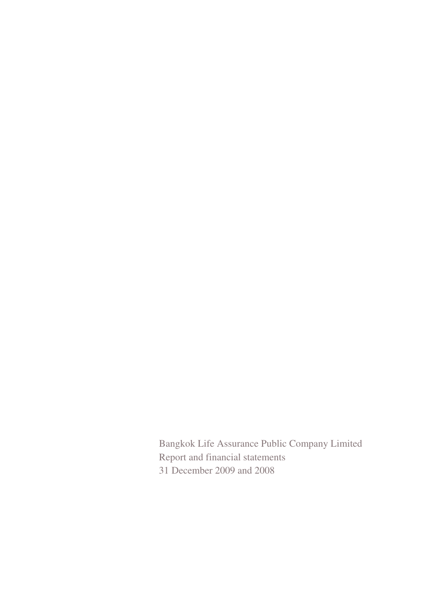Bangkok Life Assurance Public Company Limited Report and financial statements 31 December 2009 and 2008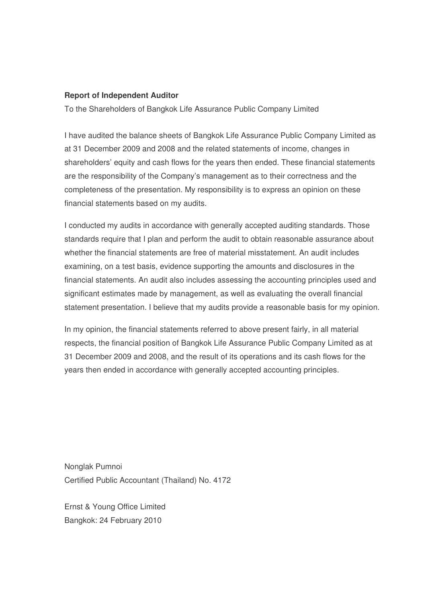#### **Report of Independent Auditor**

To the Shareholders of Bangkok Life Assurance Public Company Limited

I have audited the balance sheets of Bangkok Life Assurance Public Company Limited as at 31 December 2009 and 2008 and the related statements of income, changes in shareholders' equity and cash flows for the years then ended. These financial statements are the responsibility of the Company's management as to their correctness and the completeness of the presentation. My responsibility is to express an opinion on these financial statements based on my audits.

I conducted my audits in accordance with generally accepted auditing standards. Those standards require that I plan and perform the audit to obtain reasonable assurance about whether the financial statements are free of material misstatement. An audit includes examining, on a test basis, evidence supporting the amounts and disclosures in the financial statements. An audit also includes assessing the accounting principles used and significant estimates made by management, as well as evaluating the overall financial statement presentation. I believe that my audits provide a reasonable basis for my opinion.

In my opinion, the financial statements referred to above present fairly, in all material respects, the financial position of Bangkok Life Assurance Public Company Limited as at 31 December 2009 and 2008, and the result of its operations and its cash flows for the years then ended in accordance with generally accepted accounting principles.

Nonglak Pumnoi Certified Public Accountant (Thailand) No. 4172

Ernst & Young Office Limited Bangkok: 24 February 2010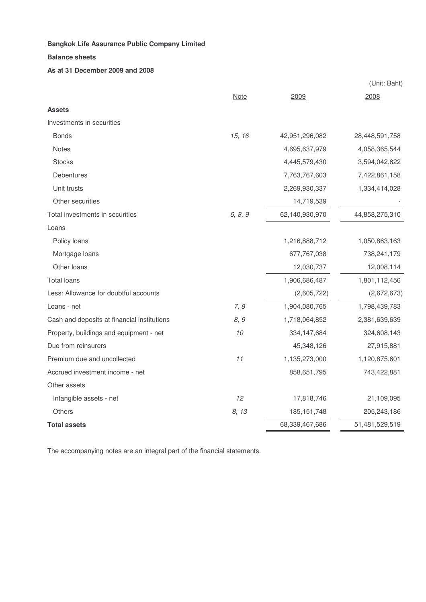#### **Balance sheets**

#### **As at 31 December 2009 and 2008**

|                                             |             |                | (Unit: Baht)   |
|---------------------------------------------|-------------|----------------|----------------|
|                                             | <b>Note</b> | 2009           | 2008           |
| <b>Assets</b>                               |             |                |                |
| Investments in securities                   |             |                |                |
| <b>Bonds</b>                                | 15, 16      | 42,951,296,082 | 28,448,591,758 |
| <b>Notes</b>                                |             | 4,695,637,979  | 4,058,365,544  |
| <b>Stocks</b>                               |             | 4,445,579,430  | 3,594,042,822  |
| Debentures                                  |             | 7,763,767,603  | 7,422,861,158  |
| Unit trusts                                 |             | 2,269,930,337  | 1,334,414,028  |
| Other securities                            |             | 14,719,539     |                |
| Total investments in securities             | 6, 8, 9     | 62,140,930,970 | 44,858,275,310 |
| Loans                                       |             |                |                |
| Policy loans                                |             | 1,216,888,712  | 1,050,863,163  |
| Mortgage loans                              |             | 677,767,038    | 738,241,179    |
| Other loans                                 |             | 12,030,737     | 12,008,114     |
| <b>Total loans</b>                          |             | 1,906,686,487  | 1,801,112,456  |
| Less: Allowance for doubtful accounts       |             | (2,605,722)    | (2,672,673)    |
| Loans - net                                 | 7, 8        | 1,904,080,765  | 1,798,439,783  |
| Cash and deposits at financial institutions | 8, 9        | 1,718,064,852  | 2,381,639,639  |
| Property, buildings and equipment - net     | 10          | 334, 147, 684  | 324,608,143    |
| Due from reinsurers                         |             | 45,348,126     | 27,915,881     |
| Premium due and uncollected                 | 11          | 1,135,273,000  | 1,120,875,601  |
| Accrued investment income - net             |             | 858,651,795    | 743,422,881    |
| Other assets                                |             |                |                |
| Intangible assets - net                     | 12          | 17,818,746     | 21,109,095     |
| <b>Others</b>                               | 8, 13       | 185, 151, 748  | 205,243,186    |
| <b>Total assets</b>                         |             | 68,339,467,686 | 51,481,529,519 |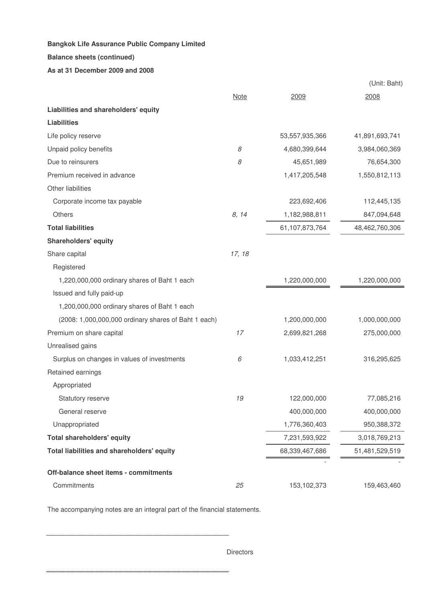#### **Balance sheets (continued)**

#### **As at 31 December 2009 and 2008**

|                                                      |             |                | (Unit: Baht)   |
|------------------------------------------------------|-------------|----------------|----------------|
|                                                      | <b>Note</b> | 2009           | 2008           |
| Liabilities and shareholders' equity                 |             |                |                |
| <b>Liabilities</b>                                   |             |                |                |
| Life policy reserve                                  |             | 53,557,935,366 | 41,891,693,741 |
| Unpaid policy benefits                               | 8           | 4,680,399,644  | 3,984,060,369  |
| Due to reinsurers                                    | 8           | 45,651,989     | 76,654,300     |
| Premium received in advance                          |             | 1,417,205,548  | 1,550,812,113  |
| Other liabilities                                    |             |                |                |
| Corporate income tax payable                         |             | 223,692,406    | 112,445,135    |
| Others                                               | 8, 14       | 1,182,988,811  | 847,094,648    |
| <b>Total liabilities</b>                             |             | 61,107,873,764 | 48,462,760,306 |
| <b>Shareholders' equity</b>                          |             |                |                |
| Share capital                                        | 17, 18      |                |                |
| Registered                                           |             |                |                |
| 1,220,000,000 ordinary shares of Baht 1 each         |             | 1,220,000,000  | 1,220,000,000  |
| Issued and fully paid-up                             |             |                |                |
| 1,200,000,000 ordinary shares of Baht 1 each         |             |                |                |
| (2008: 1,000,000,000 ordinary shares of Baht 1 each) |             | 1,200,000,000  | 1,000,000,000  |
| Premium on share capital                             | 17          | 2,699,821,268  | 275,000,000    |
| Unrealised gains                                     |             |                |                |
| Surplus on changes in values of investments          | 6           | 1,033,412,251  | 316,295,625    |
| Retained earnings                                    |             |                |                |
| Appropriated                                         |             |                |                |
| Statutory reserve                                    | 19          | 122,000,000    | 77,085,216     |
| General reserve                                      |             | 400,000,000    | 400,000,000    |
| Unappropriated                                       |             | 1,776,360,403  | 950,388,372    |
| <b>Total shareholders' equity</b>                    |             | 7,231,593,922  | 3,018,769,213  |
| Total liabilities and shareholders' equity           |             | 68,339,467,686 | 51,481,529,519 |
| Off-balance sheet items - commitments                |             |                |                |
| Commitments                                          | 25          | 153,102,373    | 159,463,460    |

The accompanying notes are an integral part of the financial statements.

**Directors**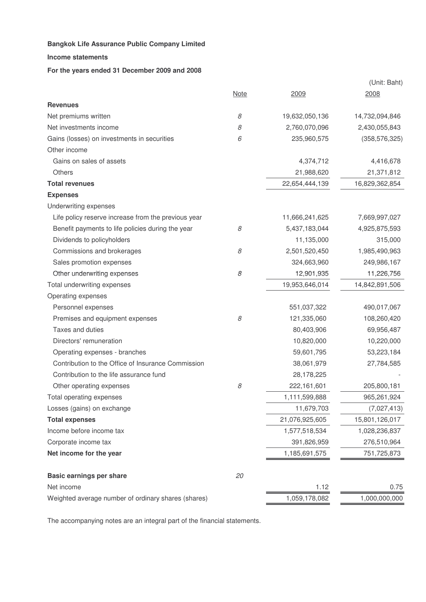#### **Income statements**

#### **For the years ended 31 December 2009 and 2008**

|                                                     |             |                | (Unit: Baht)    |
|-----------------------------------------------------|-------------|----------------|-----------------|
|                                                     | <b>Note</b> | 2009           | 2008            |
| <b>Revenues</b>                                     |             |                |                 |
| Net premiums written                                | 8           | 19,632,050,136 | 14,732,094,846  |
| Net investments income                              | 8           | 2,760,070,096  | 2,430,055,843   |
| Gains (losses) on investments in securities         | 6           | 235,960,575    | (358, 576, 325) |
| Other income                                        |             |                |                 |
| Gains on sales of assets                            |             | 4,374,712      | 4,416,678       |
| Others                                              |             | 21,988,620     | 21,371,812      |
| <b>Total revenues</b>                               |             | 22,654,444,139 | 16,829,362,854  |
| <b>Expenses</b>                                     |             |                |                 |
| Underwriting expenses                               |             |                |                 |
| Life policy reserve increase from the previous year |             | 11,666,241,625 | 7,669,997,027   |
| Benefit payments to life policies during the year   | 8           | 5,437,183,044  | 4,925,875,593   |
| Dividends to policyholders                          |             | 11,135,000     | 315,000         |
| Commissions and brokerages                          | 8           | 2,501,520,450  | 1,985,490,963   |
| Sales promotion expenses                            |             | 324,663,960    | 249,986,167     |
| Other underwriting expenses                         | 8           | 12,901,935     | 11,226,756      |
| Total underwriting expenses                         |             | 19,953,646,014 | 14,842,891,506  |
| Operating expenses                                  |             |                |                 |
| Personnel expenses                                  |             | 551,037,322    | 490,017,067     |
| Premises and equipment expenses                     | 8           | 121,335,060    | 108,260,420     |
| Taxes and duties                                    |             | 80,403,906     | 69,956,487      |
| Directors' remuneration                             |             | 10,820,000     | 10,220,000      |
| Operating expenses - branches                       |             | 59,601,795     | 53,223,184      |
| Contribution to the Office of Insurance Commission  |             | 38,061,979     | 27,784,585      |
| Contribution to the life assurance fund             |             | 28,178,225     |                 |
| Other operating expenses                            | 8           | 222,161,601    | 205,800,181     |
| Total operating expenses                            |             | 1,111,599,888  | 965,261,924     |
| Losses (gains) on exchange                          |             | 11,679,703     | (7,027,413)     |
| <b>Total expenses</b>                               |             | 21,076,925,605 | 15,801,126,017  |
| Income before income tax                            |             | 1,577,518,534  | 1,028,236,837   |
| Corporate income tax                                |             | 391,826,959    | 276,510,964     |
| Net income for the year                             |             | 1,185,691,575  | 751,725,873     |
| <b>Basic earnings per share</b>                     | 20          |                |                 |
| Net income                                          |             | 1.12           | 0.75            |
| Weighted average number of ordinary shares (shares) |             | 1,059,178,082  | 1,000,000,000   |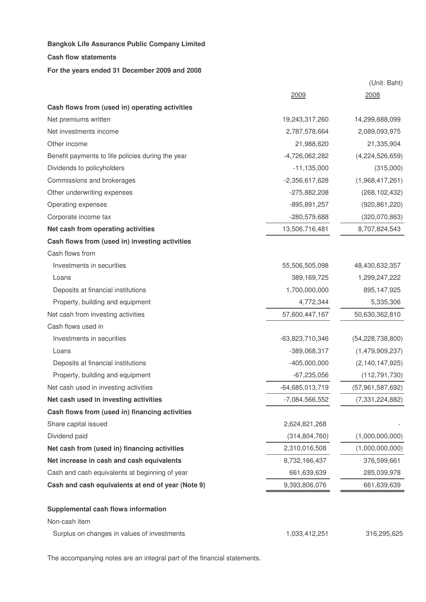#### **Cash flow statements**

#### **For the years ended 31 December 2009 and 2008**

|                                                   | 2009              | 2008                |
|---------------------------------------------------|-------------------|---------------------|
| Cash flows from (used in) operating activities    |                   |                     |
| Net premiums written                              | 19,243,317,260    | 14,299,688,099      |
| Net investments income                            | 2,787,578,664     | 2,089,093,975       |
| Other income                                      | 21,988,620        | 21,335,904          |
| Benefit payments to life policies during the year | $-4,726,062,282$  | (4,224,526,659)     |
| Dividends to policyholders                        | $-11, 135, 000$   | (315,000)           |
| Commissions and brokerages                        | $-2,356,617,628$  | (1,968,417,261)     |
| Other underwriting expenses                       | $-275,882,208$    | (268, 102, 432)     |
| Operating expenses                                | $-895,891,257$    | (920, 861, 220)     |
| Corporate income tax                              | -280,579,688      | (320,070,863)       |
| Net cash from operating activities                | 13,506,716,481    | 8,707,824,543       |
| Cash flows from (used in) investing activities    |                   |                     |
| Cash flows from                                   |                   |                     |
| Investments in securities                         | 55,506,505,098    | 48,430,632,357      |
| Loans                                             | 389,169,725       | 1,299,247,222       |
| Deposits at financial institutions                | 1,700,000,000     | 895,147,925         |
| Property, building and equipment                  | 4,772,344         | 5,335,306           |
| Net cash from investing activities                | 57,600,447,167    | 50,630,362,810      |
| Cash flows used in                                |                   |                     |
| Investments in securities                         | -63,823,710,346   | (54, 228, 738, 800) |
| Loans                                             | -389,068,317      | (1,479,909,237)     |
| Deposits at financial institutions                | $-405,000,000$    | (2, 140, 147, 925)  |
| Property, building and equipment                  | $-67,235,056$     | (112, 791, 730)     |
| Net cash used in investing activities             | $-64,685,013,719$ | (57,961,587,692)    |
| Net cash used in investing activities             | $-7,084,566,552$  | (7, 331, 224, 882)  |
| Cash flows from (used in) financing activities    |                   |                     |
| Share capital issued                              | 2,624,821,268     |                     |
| Dividend paid                                     | (314, 804, 760)   | (1,000,000,000)     |
| Net cash from (used in) financing activities      | 2,310,016,508     | (1,000,000,000)     |
| Net increase in cash and cash equivalents         | 8,732,166,437     | 376,599,661         |
| Cash and cash equivalents at beginning of year    | 661,639,639       | 285,039,978         |
| Cash and cash equivalents at end of year (Note 9) | 9,393,806,076     | 661,639,639         |
| Supplemental cash flows information               |                   |                     |
| Non-cash item                                     |                   |                     |
| Surplus on changes in values of investments       | 1,033,412,251     | 316,295,625         |

(Unit: Baht)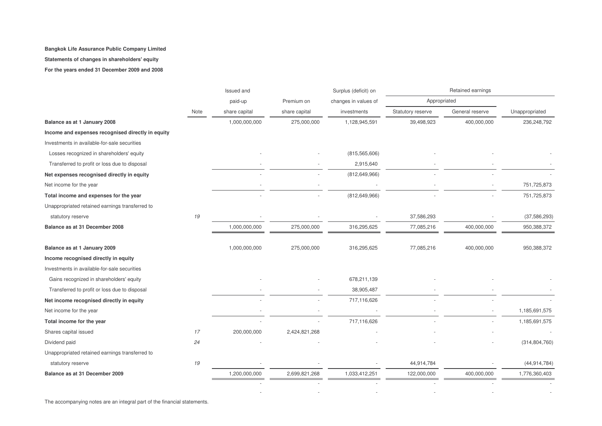#### **Statements of changes in shareholders' equity**

**For the years ended 31 December 2009 and 2008**

|                                                   |      | Issued and    |               | Surplus (deficit) on |                   | Retained earnings |                 |
|---------------------------------------------------|------|---------------|---------------|----------------------|-------------------|-------------------|-----------------|
|                                                   |      | paid-up       | Premium on    | changes in values of | Appropriated      |                   |                 |
|                                                   | Note | share capital | share capital | investments          | Statutory reserve | General reserve   | Unappropriated  |
| Balance as at 1 January 2008                      |      | 1,000,000,000 | 275,000,000   | 1,128,945,591        | 39,498,923        | 400,000,000       | 236,248,792     |
| Income and expenses recognised directly in equity |      |               |               |                      |                   |                   |                 |
| Investments in available-for-sale securities      |      |               |               |                      |                   |                   |                 |
| Losses recognized in shareholders' equity         |      |               |               | (815, 565, 606)      |                   |                   |                 |
| Transferred to profit or loss due to disposal     |      |               |               | 2,915,640            |                   |                   |                 |
| Net expenses recognised directly in equity        |      |               |               | (812, 649, 966)      |                   |                   |                 |
| Net income for the year                           |      |               |               |                      |                   |                   | 751,725,873     |
| Total income and expenses for the year            |      |               |               | (812, 649, 966)      |                   |                   | 751,725,873     |
| Unappropriated retained earnings transferred to   |      |               |               |                      |                   |                   |                 |
| statutory reserve                                 | 19   |               |               |                      | 37,586,293        |                   | (37, 586, 293)  |
| Balance as at 31 December 2008                    |      | 1,000,000,000 | 275,000,000   | 316,295,625          | 77,085,216        | 400,000,000       | 950,388,372     |
| Balance as at 1 January 2009                      |      | 1,000,000,000 | 275,000,000   | 316,295,625          | 77,085,216        | 400,000,000       | 950,388,372     |
| Income recognised directly in equity              |      |               |               |                      |                   |                   |                 |
| Investments in available-for-sale securities      |      |               |               |                      |                   |                   |                 |
| Gains recognized in shareholders' equity          |      |               |               | 678,211,139          |                   |                   |                 |
| Transferred to profit or loss due to disposal     |      |               |               | 38,905,487           |                   |                   |                 |
| Net income recognised directly in equity          |      |               |               | 717,116,626          |                   |                   |                 |
| Net income for the year                           |      |               |               |                      |                   |                   | 1,185,691,575   |
| Total income for the year                         |      |               |               | 717,116,626          |                   |                   | 1,185,691,575   |
| Shares capital issued                             | 17   | 200,000,000   | 2,424,821,268 |                      |                   |                   |                 |
| Dividend paid                                     | 24   |               |               |                      |                   |                   | (314, 804, 760) |
| Unappropriated retained earnings transferred to   |      |               |               |                      |                   |                   |                 |
| statutory reserve                                 | 19   |               |               |                      | 44,914,784        |                   | (44, 914, 784)  |
| Balance as at 31 December 2009                    |      | 1,200,000,000 | 2,699,821,268 | 1,033,412,251        | 122,000,000       | 400,000,000       | 1,776,360,403   |
|                                                   |      |               |               |                      |                   |                   |                 |
|                                                   |      |               |               |                      |                   |                   |                 |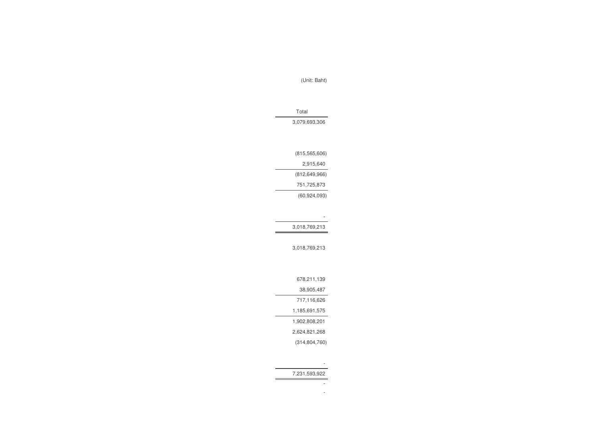| 3,018,769,213   |
|-----------------|
|                 |
| 3,018,769,213   |
|                 |
|                 |
| 678,211,139     |
| 38,905,487      |
| 717,116,626     |
| 1,185,691,575   |
| 1,902,808,201   |
| 2,624,821,268   |
| (314, 804, 760) |
|                 |
|                 |

7,231,593,922

- -

| 751,725,873    |
|----------------|
| (60, 924, 093) |
|                |
|                |
| 3,018,769,213  |

(815,565,606) 2,915,640 (812,649,966)

Total 3,079,693,306

(Unit: Baht)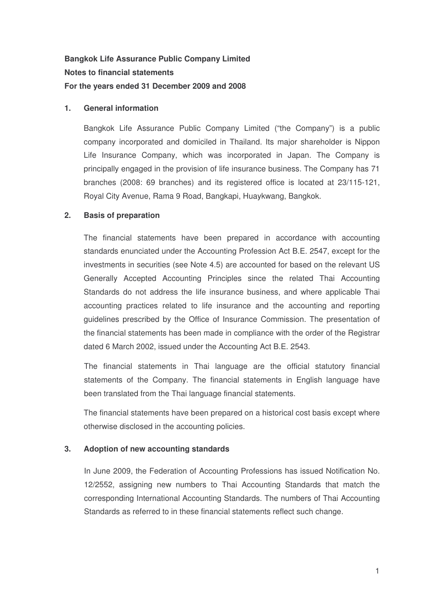# **Bangkok Life Assurance Public Company Limited Notes to financial statements For the years ended 31 December 2009 and 2008**

# **1. General information**

Bangkok Life Assurance Public Company Limited ("the Company") is a public company incorporated and domiciled in Thailand. Its major shareholder is Nippon Life Insurance Company, which was incorporated in Japan. The Company is principally engaged in the provision of life insurance business. The Company has 71 branches (2008: 69 branches) and its registered office is located at 23/115-121, Royal City Avenue, Rama 9 Road, Bangkapi, Huaykwang, Bangkok.

# **2. Basis of preparation**

The financial statements have been prepared in accordance with accounting standards enunciated under the Accounting Profession Act B.E. 2547, except for the investments in securities (see Note 4.5) are accounted for based on the relevant US Generally Accepted Accounting Principles since the related Thai Accounting Standards do not address the life insurance business, and where applicable Thai accounting practices related to life insurance and the accounting and reporting guidelines prescribed by the Office of Insurance Commission. The presentation of the financial statements has been made in compliance with the order of the Registrar dated 6 March 2002, issued under the Accounting Act B.E. 2543.

The financial statements in Thai language are the official statutory financial statements of the Company. The financial statements in English language have been translated from the Thai language financial statements.

The financial statements have been prepared on a historical cost basis except where otherwise disclosed in the accounting policies.

# **3. Adoption of new accounting standards**

In June 2009, the Federation of Accounting Professions has issued Notification No. 12/2552, assigning new numbers to Thai Accounting Standards that match the corresponding International Accounting Standards. The numbers of Thai Accounting Standards as referred to in these financial statements reflect such change.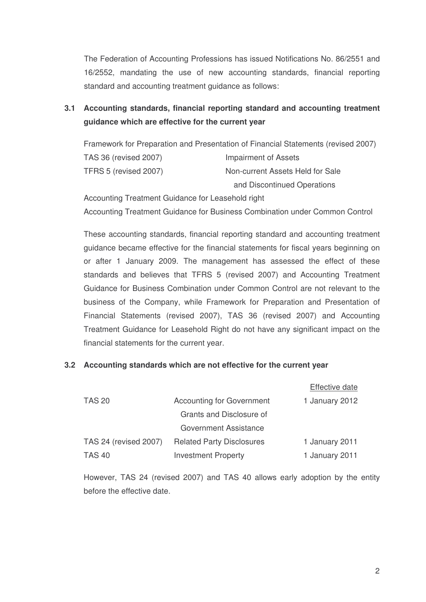The Federation of Accounting Professions has issued Notifications No. 86/2551 and 16/2552, mandating the use of new accounting standards, financial reporting standard and accounting treatment guidance as follows:

# **3.1 Accounting standards, financial reporting standard and accounting treatment guidance which are effective for the current year**

Framework for Preparation and Presentation of Financial Statements (revised 2007) TAS 36 (revised 2007) Impairment of Assets TFRS 5 (revised 2007) Non-current Assets Held for Sale and Discontinued Operations

Accounting Treatment Guidance for Leasehold right Accounting Treatment Guidance for Business Combination under Common Control

These accounting standards, financial reporting standard and accounting treatment guidance became effective for the financial statements for fiscal years beginning on or after 1 January 2009. The management has assessed the effect of these standards and believes that TFRS 5 (revised 2007) and Accounting Treatment Guidance for Business Combination under Common Control are not relevant to the business of the Company, while Framework for Preparation and Presentation of Financial Statements (revised 2007), TAS 36 (revised 2007) and Accounting Treatment Guidance for Leasehold Right do not have any significant impact on the financial statements for the current year.

# **3.2 Accounting standards which are not effective for the current year**

|                       |                                  | <b>Effective date</b> |
|-----------------------|----------------------------------|-----------------------|
| <b>TAS 20</b>         | <b>Accounting for Government</b> | 1 January 2012        |
|                       | Grants and Disclosure of         |                       |
|                       | <b>Government Assistance</b>     |                       |
| TAS 24 (revised 2007) | <b>Related Party Disclosures</b> | 1 January 2011        |
| <b>TAS 40</b>         | <b>Investment Property</b>       | 1 January 2011        |

However, TAS 24 (revised 2007) and TAS 40 allows early adoption by the entity before the effective date.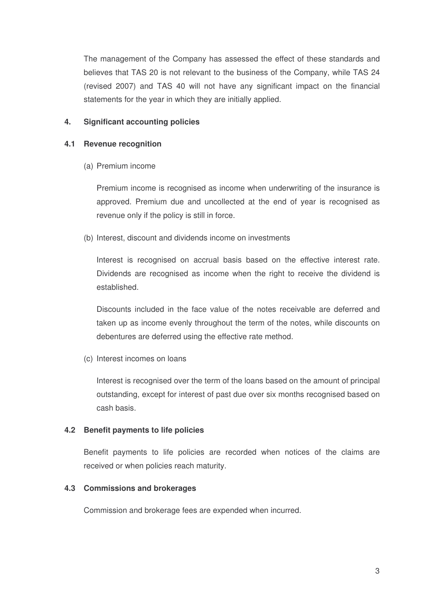The management of the Company has assessed the effect of these standards and believes that TAS 20 is not relevant to the business of the Company, while TAS 24 (revised 2007) and TAS 40 will not have any significant impact on the financial statements for the year in which they are initially applied.

# **4. Significant accounting policies**

# **4.1 Revenue recognition**

(a) Premium income

Premium income is recognised as income when underwriting of the insurance is approved. Premium due and uncollected at the end of year is recognised as revenue only if the policy is still in force.

(b) Interest, discount and dividends income on investments

Interest is recognised on accrual basis based on the effective interest rate. Dividends are recognised as income when the right to receive the dividend is established.

Discounts included in the face value of the notes receivable are deferred and taken up as income evenly throughout the term of the notes, while discounts on debentures are deferred using the effective rate method.

(c) Interest incomes on loans

Interest is recognised over the term of the loans based on the amount of principal outstanding, except for interest of past due over six months recognised based on cash basis.

# **4.2 Benefit payments to life policies**

Benefit payments to life policies are recorded when notices of the claims are received or when policies reach maturity.

# **4.3 Commissions and brokerages**

Commission and brokerage fees are expended when incurred.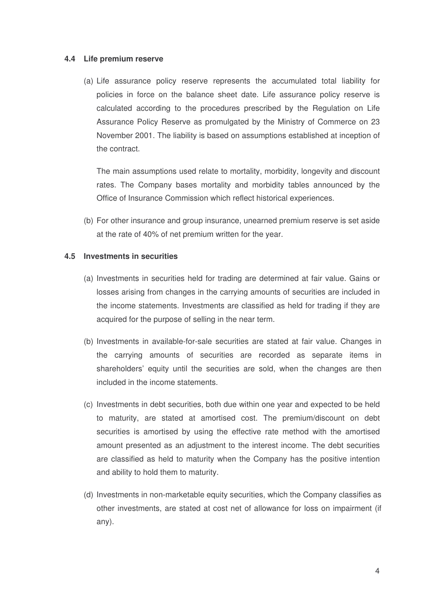#### **4.4 Life premium reserve**

(a) Life assurance policy reserve represents the accumulated total liability for policies in force on the balance sheet date. Life assurance policy reserve is calculated according to the procedures prescribed by the Regulation on Life Assurance Policy Reserve as promulgated by the Ministry of Commerce on 23 November 2001. The liability is based on assumptions established at inception of the contract.

The main assumptions used relate to mortality, morbidity, longevity and discount rates. The Company bases mortality and morbidity tables announced by the Office of Insurance Commission which reflect historical experiences.

(b) For other insurance and group insurance, unearned premium reserve is set aside at the rate of 40% of net premium written for the year.

#### **4.5 Investments in securities**

- (a) Investments in securities held for trading are determined at fair value. Gains or losses arising from changes in the carrying amounts of securities are included in the income statements. Investments are classified as held for trading if they are acquired for the purpose of selling in the near term.
- (b) Investments in available-for-sale securities are stated at fair value. Changes in the carrying amounts of securities are recorded as separate items in shareholders' equity until the securities are sold, when the changes are then included in the income statements.
- (c) Investments in debt securities, both due within one year and expected to be held to maturity, are stated at amortised cost. The premium/discount on debt securities is amortised by using the effective rate method with the amortised amount presented as an adjustment to the interest income. The debt securities are classified as held to maturity when the Company has the positive intention and ability to hold them to maturity.
- (d) Investments in non-marketable equity securities, which the Company classifies as other investments, are stated at cost net of allowance for loss on impairment (if any).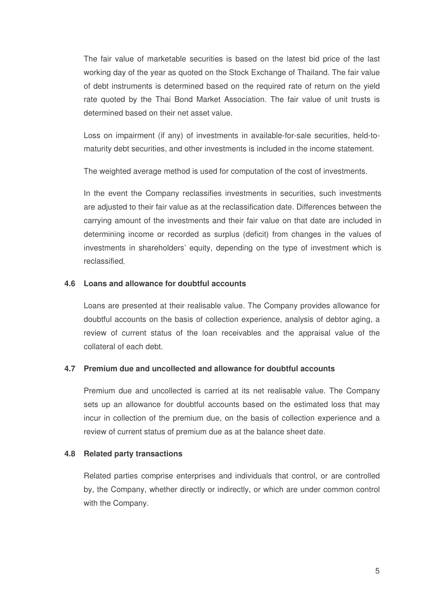The fair value of marketable securities is based on the latest bid price of the last working day of the year as quoted on the Stock Exchange of Thailand. The fair value of debt instruments is determined based on the required rate of return on the yield rate quoted by the Thai Bond Market Association. The fair value of unit trusts is determined based on their net asset value.

Loss on impairment (if any) of investments in available-for-sale securities, held-tomaturity debt securities, and other investments is included in the income statement.

The weighted average method is used for computation of the cost of investments.

In the event the Company reclassifies investments in securities, such investments are adjusted to their fair value as at the reclassification date Differences between the carrying amount of the investments and their fair value on that date are included in determining income or recorded as surplus (deficit) from changes in the values of investments in shareholders' equity, depending on the type of investment which is reclassified

# **4.6 Loans and allowance for doubtful accounts**

Loans are presented at their realisable value. The Company provides allowance for doubtful accounts on the basis of collection experience, analysis of debtor aging, a review of current status of the loan receivables and the appraisal value of the collateral of each debt.

#### **4.7 Premium due and uncollected and allowance for doubtful accounts**

Premium due and uncollected is carried at its net realisable value. The Company sets up an allowance for doubtful accounts based on the estimated loss that may incur in collection of the premium due, on the basis of collection experience and a review of current status of premium due as at the balance sheet date.

#### **4.8 Related party transactions**

Related parties comprise enterprises and individuals that control, or are controlled by, the Company, whether directly or indirectly, or which are under common control with the Company.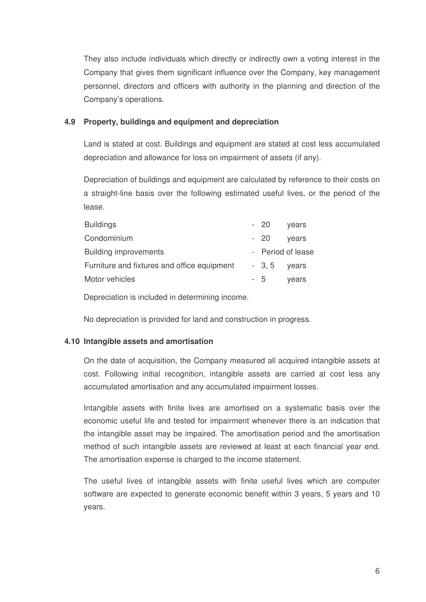They also include individuals which directly or indirectly own a voting interest in the Company that gives them significant influence over the Company, key management personnel, directors and officers with authority in the planning and direction of the Company's operations.

# **4.9 Property, buildings and equipment and depreciation**

Land is stated at cost. Buildings and equipment are stated at cost less accumulated depreciation and allowance for loss on impairment of assets (if any).

Depreciation of buildings and equipment are calculated by reference to their costs on a straight-line basis over the following estimated useful lives, or the period of the lease.

|  | vears                                                |
|--|------------------------------------------------------|
|  | vears                                                |
|  |                                                      |
|  | vears                                                |
|  | vears                                                |
|  | - 20<br>$-20$<br>- Period of lease<br>$-3, 5$<br>- 5 |

Depreciation is included in determining income.

No depreciation is provided for land and construction in progress.

# **4.10 Intangible assets and amortisation**

On the date of acquisition, the Company measured all acquired intangible assets at cost. Following initial recognition, intangible assets are carried at cost less any accumulated amortisation and any accumulated impairment losses.

Intangible assets with finite lives are amortised on a systematic basis over the economic useful life and tested for impairment whenever there is an indication that the intangible asset may be impaired. The amortisation period and the amortisation method of such intangible assets are reviewed at least at each financial year end. The amortisation expense is charged to the income statement.

The useful lives of intangible assets with finite useful lives which are computer software are expected to generate economic benefit within 3 years, 5 years and 10 years.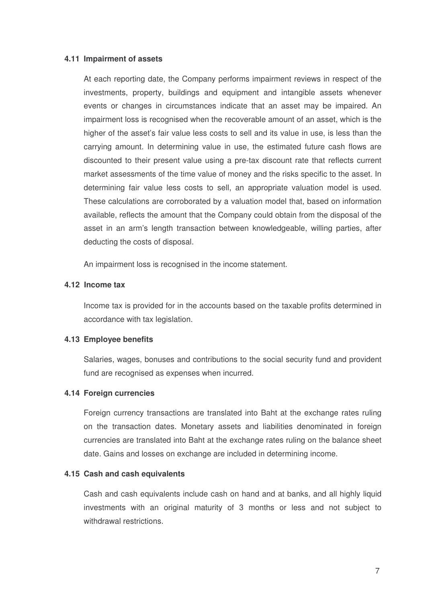#### **4.11 Impairment of assets**

At each reporting date, the Company performs impairment reviews in respect of the investments, property, buildings and equipment and intangible assets whenever events or changes in circumstances indicate that an asset may be impaired. An impairment loss is recognised when the recoverable amount of an asset, which is the higher of the asset's fair value less costs to sell and its value in use, is less than the carrying amount. In determining value in use, the estimated future cash flows are discounted to their present value using a pre-tax discount rate that reflects current market assessments of the time value of money and the risks specific to the asset. In determining fair value less costs to sell, an appropriate valuation model is used. These calculations are corroborated by a valuation model that, based on information available, reflects the amount that the Company could obtain from the disposal of the asset in an arm's length transaction between knowledgeable, willing parties, after deducting the costs of disposal.

An impairment loss is recognised in the income statement.

#### **4.12 Income tax**

Income tax is provided for in the accounts based on the taxable profits determined in accordance with tax legislation.

#### **4.13 Employee benefits**

Salaries, wages, bonuses and contributions to the social security fund and provident fund are recognised as expenses when incurred.

#### **4.14 Foreign currencies**

Foreign currency transactions are translated into Baht at the exchange rates ruling on the transaction dates. Monetary assets and liabilities denominated in foreign currencies are translated into Baht at the exchange rates ruling on the balance sheet date. Gains and losses on exchange are included in determining income.

#### **4.15 Cash and cash equivalents**

Cash and cash equivalents include cash on hand and at banks, and all highly liquid investments with an original maturity of 3 months or less and not subject to withdrawal restrictions.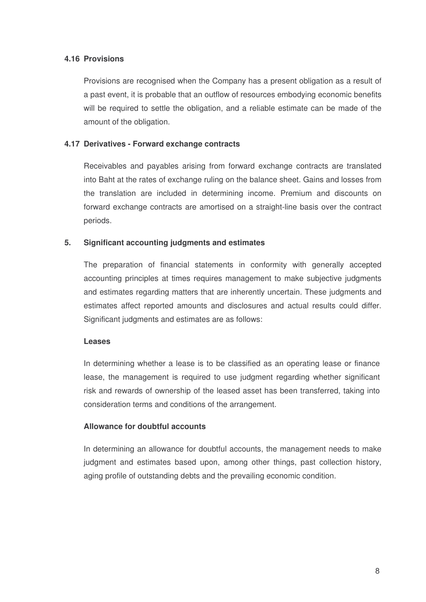# **4.16 Provisions**

Provisions are recognised when the Company has a present obligation as a result of a past event, it is probable that an outflow of resources embodying economic benefits will be required to settle the obligation, and a reliable estimate can be made of the amount of the obligation.

#### **4.17 Derivatives - Forward exchange contracts**

Receivables and payables arising from forward exchange contracts are translated into Baht at the rates of exchange ruling on the balance sheet. Gains and losses from the translation are included in determining income. Premium and discounts on forward exchange contracts are amortised on a straight-line basis over the contract periods.

# **5. Significant accounting judgments and estimates**

The preparation of financial statements in conformity with generally accepted accounting principles at times requires management to make subjective judgments and estimates regarding matters that are inherently uncertain. These judgments and estimates affect reported amounts and disclosures and actual results could differ. Significant judgments and estimates are as follows:

#### **Leases**

In determining whether a lease is to be classified as an operating lease or finance lease, the management is required to use judgment regarding whether significant risk and rewards of ownership of the leased asset has been transferred, taking into consideration terms and conditions of the arrangement.

#### **Allowance for doubtful accounts**

In determining an allowance for doubtful accounts, the management needs to make judgment and estimates based upon, among other things, past collection history, aging profile of outstanding debts and the prevailing economic condition.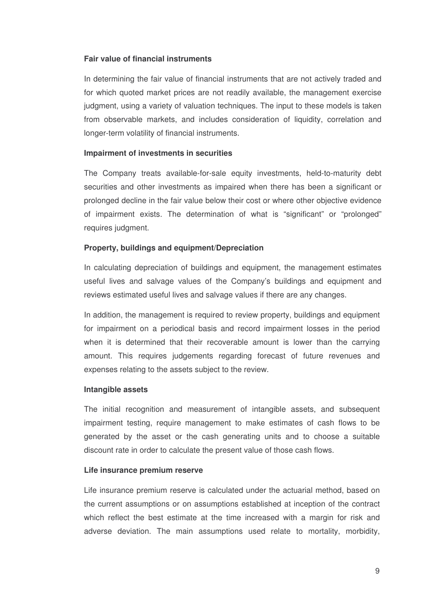## **Fair value of financial instruments**

In determining the fair value of financial instruments that are not actively traded and for which quoted market prices are not readily available, the management exercise judgment, using a variety of valuation techniques. The input to these models is taken from observable markets, and includes consideration of liquidity, correlation and longer-term volatility of financial instruments.

#### **Impairment of investments in securities**

The Company treats available-for-sale equity investments, held-to-maturity debt securities and other investments as impaired when there has been a significant or prolonged decline in the fair value below their cost or where other objective evidence of impairment exists. The determination of what is "significant" or "prolonged" requires judgment.

#### **Property, buildings and equipment/Depreciation**

In calculating depreciation of buildings and equipment, the management estimates useful lives and salvage values of the Company's buildings and equipment and reviews estimated useful lives and salvage values if there are any changes.

In addition, the management is required to review property, buildings and equipment for impairment on a periodical basis and record impairment losses in the period when it is determined that their recoverable amount is lower than the carrying amount. This requires judgements regarding forecast of future revenues and expenses relating to the assets subject to the review.

#### **Intangible assets**

The initial recognition and measurement of intangible assets, and subsequent impairment testing, require management to make estimates of cash flows to be generated by the asset or the cash generating units and to choose a suitable discount rate in order to calculate the present value of those cash flows.

#### **Life insurance premium reserve**

Life insurance premium reserve is calculated under the actuarial method, based on the current assumptions or on assumptions established at inception of the contract which reflect the best estimate at the time increased with a margin for risk and adverse deviation. The main assumptions used relate to mortality, morbidity,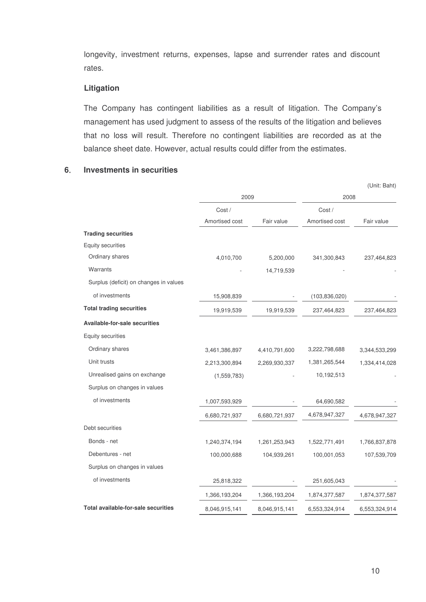longevity, investment returns, expenses, lapse and surrender rates and discount rates.

#### **Litigation**

The Company has contingent liabilities as a result of litigation. The Company's management has used judgment to assess of the results of the litigation and believes that no loss will result. Therefore no contingent liabilities are recorded as at the balance sheet date. However, actual results could differ from the estimates.

# **6 Investments in securities**

|                                        |                |               |                 | (Unit: Baht)  |
|----------------------------------------|----------------|---------------|-----------------|---------------|
|                                        | 2009           |               | 2008            |               |
|                                        | Cost/          |               | Cost/           |               |
|                                        | Amortised cost | Fair value    | Amortised cost  | Fair value    |
| <b>Trading securities</b>              |                |               |                 |               |
| <b>Equity securities</b>               |                |               |                 |               |
| Ordinary shares                        | 4,010,700      | 5,200,000     | 341,300,843     | 237,464,823   |
| Warrants                               |                | 14,719,539    |                 |               |
| Surplus (deficit) on changes in values |                |               |                 |               |
| of investments                         | 15,908,839     |               | (103, 836, 020) |               |
| <b>Total trading securities</b>        | 19,919,539     | 19,919,539    | 237,464,823     | 237,464,823   |
| <b>Available-for-sale securities</b>   |                |               |                 |               |
| Equity securities                      |                |               |                 |               |
| Ordinary shares                        | 3,461,386,897  | 4,410,791,600 | 3,222,798,688   | 3,344,533,299 |
| Unit trusts                            | 2,213,300,894  | 2,269,930,337 | 1,381,265,544   | 1,334,414,028 |
| Unrealised gains on exchange           | (1,559,783)    |               | 10,192,513      |               |
| Surplus on changes in values           |                |               |                 |               |
| of investments                         | 1,007,593,929  |               | 64,690,582      |               |
|                                        | 6,680,721,937  | 6,680,721,937 | 4,678,947,327   | 4,678,947,327 |
| Debt securities                        |                |               |                 |               |
| Bonds - net                            | 1,240,374,194  | 1,261,253,943 | 1,522,771,491   | 1,766,837,878 |
| Debentures - net                       | 100,000,688    | 104,939,261   | 100,001,053     | 107,539,709   |
| Surplus on changes in values           |                |               |                 |               |
| of investments                         | 25,818,322     |               | 251,605,043     |               |
|                                        | 1,366,193,204  | 1,366,193,204 | 1,874,377,587   | 1,874,377,587 |
| Total available-for-sale securities    | 8,046,915,141  | 8,046,915,141 | 6,553,324,914   | 6,553,324,914 |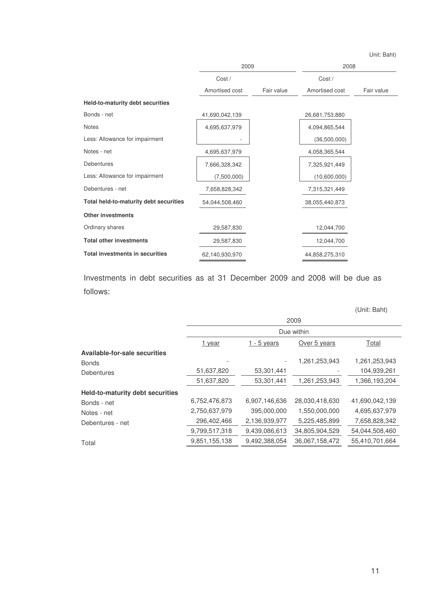Unit: Baht)

|                                        | 2009           |            | 2008           |            |
|----------------------------------------|----------------|------------|----------------|------------|
|                                        | Cost /         |            | Cost/          |            |
|                                        | Amortised cost | Fair value | Amortised cost | Fair value |
| Held-to-maturity debt securities       |                |            |                |            |
| Bonds - net                            | 41,690,042,139 |            | 26,681,753,880 |            |
| <b>Notes</b>                           | 4,695,637,979  |            | 4,094,865,544  |            |
| Less: Allowance for impairment         |                |            | (36,500,000)   |            |
| Notes - net                            | 4,695,637,979  |            | 4,058,365,544  |            |
| <b>Debentures</b>                      | 7,666,328,342  |            | 7,325,921,449  |            |
| Less: Allowance for impairment         | (7,500,000)    |            | (10,600,000)   |            |
| Debentures - net                       | 7,658,828,342  |            | 7,315,321,449  |            |
| Total held-to-maturity debt securities | 54,044,508,460 |            | 38,055,440,873 |            |
| <b>Other investments</b>               |                |            |                |            |
| Ordinary shares                        | 29,587,830     |            | 12,044,700     |            |
| <b>Total other investments</b>         | 29,587,830     |            | 12,044,700     |            |
| <b>Total investments in securities</b> | 62,140,930,970 |            | 44,858,275,310 |            |

Investments in debt securities as at 31 December 2009 and 2008 will be due as follows

|                                         |               |               |                | (Unit: Baht)   |  |
|-----------------------------------------|---------------|---------------|----------------|----------------|--|
|                                         | 2009          |               |                |                |  |
|                                         | Due within    |               |                |                |  |
|                                         | 1 year        | 1 - 5 years   | Over 5 years   | Total          |  |
| Available-for-sale securities           |               |               |                |                |  |
| <b>Bonds</b>                            |               |               | 1,261,253,943  | 1,261,253,943  |  |
| <b>Debentures</b>                       | 51,637,820    | 53,301,441    |                | 104,939,261    |  |
|                                         | 51,637,820    | 53,301,441    | 1,261,253,943  | 1,366,193,204  |  |
| <b>Held-to-maturity debt securities</b> |               |               |                |                |  |
| Bonds - net                             | 6,752,476,873 | 6,907,146,636 | 28,030,418,630 | 41,690,042,139 |  |
| Notes - net                             | 2,750,637,979 | 395,000,000   | 1,550,000,000  | 4,695,637,979  |  |
| Debentures - net                        | 296,402,466   | 2,136,939,977 | 5,225,485,899  | 7,658,828,342  |  |
|                                         | 9,799,517,318 | 9,439,086,613 | 34,805,904,529 | 54,044,508,460 |  |
| Total                                   | 9,851,155,138 | 9,492,388,054 | 36,067,158,472 | 55,410,701,664 |  |
|                                         |               |               |                |                |  |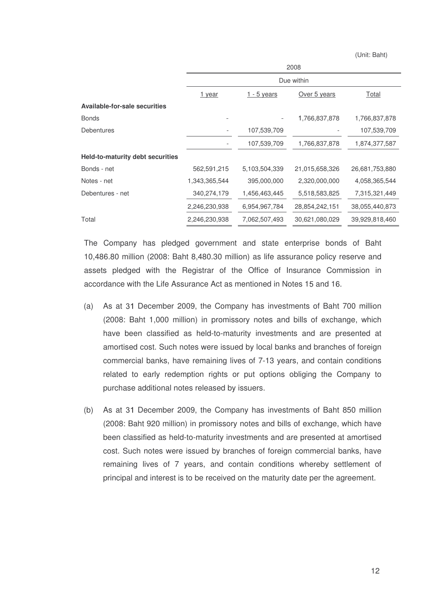(Unit: Baht)

|                                         | 2008          |               |                |                |  |  |  |  |  |
|-----------------------------------------|---------------|---------------|----------------|----------------|--|--|--|--|--|
|                                         |               | Due within    |                |                |  |  |  |  |  |
|                                         | 1 year        | $1 - 5$ years | Over 5 years   | Total          |  |  |  |  |  |
| <b>Available-for-sale securities</b>    |               |               |                |                |  |  |  |  |  |
| <b>Bonds</b>                            |               |               | 1,766,837,878  | 1,766,837,878  |  |  |  |  |  |
| <b>Debentures</b>                       |               | 107,539,709   |                | 107,539,709    |  |  |  |  |  |
|                                         |               | 107,539,709   | 1,766,837,878  | 1,874,377,587  |  |  |  |  |  |
| <b>Held-to-maturity debt securities</b> |               |               |                |                |  |  |  |  |  |
| Bonds - net                             | 562,591,215   | 5,103,504,339 | 21,015,658,326 | 26,681,753,880 |  |  |  |  |  |
| Notes - net                             | 1,343,365,544 | 395,000,000   | 2,320,000,000  | 4,058,365,544  |  |  |  |  |  |
| Debentures - net                        | 340,274,179   | 1,456,463,445 | 5,518,583,825  | 7,315,321,449  |  |  |  |  |  |
|                                         | 2,246,230,938 | 6,954,967,784 | 28,854,242,151 | 38,055,440,873 |  |  |  |  |  |
| Total                                   | 2,246,230,938 | 7,062,507,493 | 30,621,080,029 | 39,929,818,460 |  |  |  |  |  |
|                                         |               |               |                |                |  |  |  |  |  |

The Company has pledged government and state enterprise bonds of Baht 10,486.80 million (2008: Baht 8,480.30 million) as life assurance policy reserve and assets pledged with the Registrar of the Office of Insurance Commission in accordance with the Life Assurance Act as mentioned in Notes 15 and 16.

- (a) As at December 2009, the Company has investments of Baht 700 million (2008: Baht 1,000 million) in promissory notes and bills of exchange, which have been classified as held-to-maturity investments and are presented at amortised cost. Such notes were issued by local banks and branches of foreign commercial banks, have remaining lives of 7-13 years, and contain conditions related to early redemption rights or put options obliging the Company to purchase additional notes released by issuers.
- (b) As at December 2009, the Company has investments of Baht 850 million (2008: Baht 920 million) in promissory notes and bills of exchange, which have been classified as held-to-maturity investments and are presented at amortised cost. Such notes were issued by branches of foreign commercial banks, have remaining lives of 7 years, and contain conditions whereby settlement of principal and interest is to be received on the maturity date per the agreement.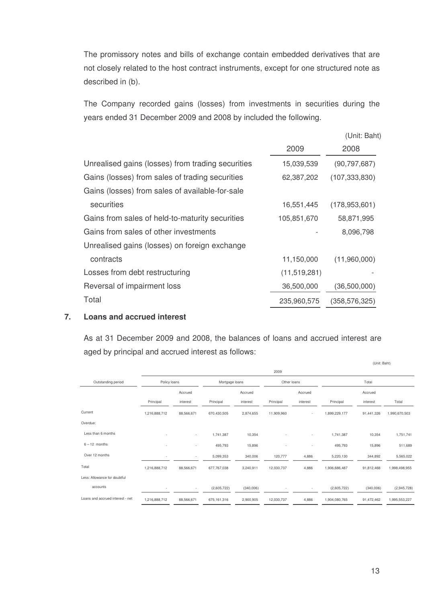The promissory notes and bills of exchange contain embedded derivatives that are not closely related to the host contract instruments, except for one structured note as described in (b).

The Company recorded gains (losses) from investments in securities during the years ended 31 December 2009 and 2008 by included the following.

|                                                   |                | (Unit: Baht)    |
|---------------------------------------------------|----------------|-----------------|
|                                                   | 2009           | 2008            |
| Unrealised gains (losses) from trading securities | 15,039,539     | (90, 797, 687)  |
| Gains (losses) from sales of trading securities   | 62,387,202     | (107, 333, 830) |
| Gains (losses) from sales of available-for-sale   |                |                 |
| securities                                        | 16,551,445     | (178, 953, 601) |
| Gains from sales of held-to-maturity securities   | 105,851,670    | 58,871,995      |
| Gains from sales of other investments             |                | 8,096,798       |
| Unrealised gains (losses) on foreign exchange     |                |                 |
| contracts                                         | 11,150,000     | (11,960,000)    |
| Losses from debt restructuring                    | (11, 519, 281) |                 |
| Reversal of impairment loss                       | 36,500,000     | (36,500,000)    |
| Total                                             | 235,960,575    | (358, 576, 325) |

#### **7. Loans and accrued interest**

As at 31 December 2009 and 2008, the balances of loans and accrued interest are aged by principal and accrued interest as follows:

|                                  | 2009                     |                          |                |           |             |          |               |            |               |
|----------------------------------|--------------------------|--------------------------|----------------|-----------|-------------|----------|---------------|------------|---------------|
| Outstanding period               | Policy loans             |                          | Mortgage loans |           | Other loans |          | Total         |            |               |
|                                  |                          | Accrued                  |                | Accrued   |             | Accrued  |               | Accrued    |               |
|                                  | Principal                | interest                 | Principal      | interest  | Principal   | interest | Principal     | interest   | Total         |
| Current                          | 1,216,888,712            | 88,566,671               | 670.430.505    | 2,874,655 | 11,909,960  |          | 1,899,229,177 | 91,441,326 | 1,990,670,503 |
| Overdue:                         |                          |                          |                |           |             |          |               |            |               |
| Less than 6 months               |                          | ٠                        | 1,741,387      | 10,354    |             |          | 1,741,387     | 10,354     | 1,751,741     |
| $6 - 12$ months                  | $\overline{\phantom{a}}$ | $\overline{\phantom{a}}$ | 495,793        | 15,896    | ٠           | ٠        | 495,793       | 15,896     | 511,689       |
| Over 12 months                   | ٠                        | $\sim$                   | 5,099,353      | 340,006   | 120,777     | 4,886    | 5,220,130     | 344,892    | 5,565,022     |
| Total                            | 1,216,888,712            | 88,566,671               | 677,767,038    | 3,240,911 | 12,030,737  | 4,886    | 1,906,686,487 | 91,812,468 | 1,998,498,955 |
| Less: Allowance for doubtful     |                          |                          |                |           |             |          |               |            |               |
| accounts                         |                          | $\sim$                   | (2,605,722)    | (340,006) |             | ٠        | (2,605,722)   | (340,006)  | (2,945,728)   |
| Loans and accrued interest - net | 1,216,888,712            | 88,566,671               | 675, 161, 316  | 2,900,905 | 12,030,737  | 4,886    | 1,904,080,765 | 91,472,462 | 1,995,553,227 |

(Unit: Baht)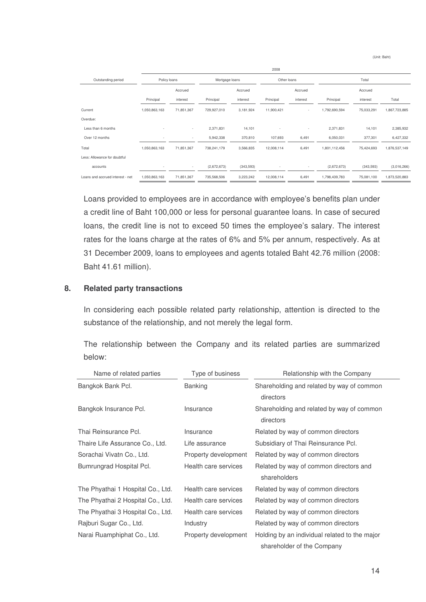(Unit: Baht)

|                                  | 2008          |              |             |                |            |                          |               |            |               |  |
|----------------------------------|---------------|--------------|-------------|----------------|------------|--------------------------|---------------|------------|---------------|--|
| Outstanding period               |               | Policy loans |             | Mortgage loans |            | Other loans              |               | Total      |               |  |
|                                  |               | Accrued      |             | Accrued        |            | Accrued                  |               | Accrued    |               |  |
|                                  | Principal     | interest     | Principal   | interest       | Principal  | interest                 | Principal     | interest   | Total         |  |
| Current                          | 1,050,863,163 | 71,851,367   | 729,927,010 | 3,181,924      | 11,900,421 | ٠                        | 1,792,690,594 | 75,033,291 | 1,867,723,885 |  |
| Overdue:                         |               |              |             |                |            |                          |               |            |               |  |
| Less than 6 months               |               | $\sim$       | 2,371,831   | 14,101         |            | ٠                        | 2,371,831     | 14,101     | 2,385,932     |  |
| Over 12 months                   |               | ٠            | 5,942,338   | 370,810        | 107,693    | 6,491                    | 6,050,031     | 377,301    | 6,427,332     |  |
| Total                            | 1,050,863,163 | 71,851,367   | 738,241,179 | 3,566,835      | 12,008,114 | 6,491                    | 1,801,112,456 | 75,424,693 | 1,876,537,149 |  |
| Less: Allowance for doubtful     |               |              |             |                |            |                          |               |            |               |  |
| accounts                         |               | ٠            | (2,672,673) | (343, 593)     |            | $\overline{\phantom{a}}$ | (2,672,673)   | (343,593)  | (3,016,266)   |  |
| Loans and accrued interest - net | 1,050,863,163 | 71,851,367   | 735,568,506 | 3,223,242      | 12,008,114 | 6,491                    | 1,798,439,783 | 75,081,100 | 1,873,520,883 |  |

Loans provided to employees are in accordance with employee's benefits plan under a credit line of Baht 100,000 or less for personal guarantee loans. In case of secured loans, the credit line is not to exceed 50 times the employee's salary. The interest rates for the loans charge at the rates of 6% and 5% per annum, respectively. As at 31 December 2009, loans to employees and agents totaled Baht 42.76 million (2008: Baht 41.61 million).

#### **8. Related party transactions**

In considering each possible related party relationship, attention is directed to the substance of the relationship, and not merely the legal form.

|        |  |  |  |  | The relationship between the Company and its related parties are summarized |
|--------|--|--|--|--|-----------------------------------------------------------------------------|
| below: |  |  |  |  |                                                                             |

| Name of related parties           | Type of business     | Relationship with the Company                          |  |  |  |
|-----------------------------------|----------------------|--------------------------------------------------------|--|--|--|
| Bangkok Bank Pcl.                 | <b>Banking</b>       | Shareholding and related by way of common              |  |  |  |
|                                   |                      | directors                                              |  |  |  |
| Bangkok Insurance Pcl.            | Insurance            | Shareholding and related by way of common<br>directors |  |  |  |
|                                   |                      |                                                        |  |  |  |
| Thai Reinsurance Pcl.             | Insurance            | Related by way of common directors                     |  |  |  |
| Thaire Life Assurance Co., Ltd.   | Life assurance       | Subsidiary of Thai Reinsurance Pcl.                    |  |  |  |
| Sorachai Vivatn Co., Ltd.         | Property development | Related by way of common directors                     |  |  |  |
| Bumrungrad Hospital Pcl.          | Health care services | Related by way of common directors and                 |  |  |  |
|                                   |                      | shareholders                                           |  |  |  |
| The Phyathai 1 Hospital Co., Ltd. | Health care services | Related by way of common directors                     |  |  |  |
| The Phyathai 2 Hospital Co., Ltd. | Health care services | Related by way of common directors                     |  |  |  |
| The Phyathai 3 Hospital Co., Ltd. | Health care services | Related by way of common directors                     |  |  |  |
| Rajburi Sugar Co., Ltd.           | Industry             | Related by way of common directors                     |  |  |  |
| Narai Ruamphiphat Co., Ltd.       | Property development | Holding by an individual related to the major          |  |  |  |
|                                   |                      | shareholder of the Company                             |  |  |  |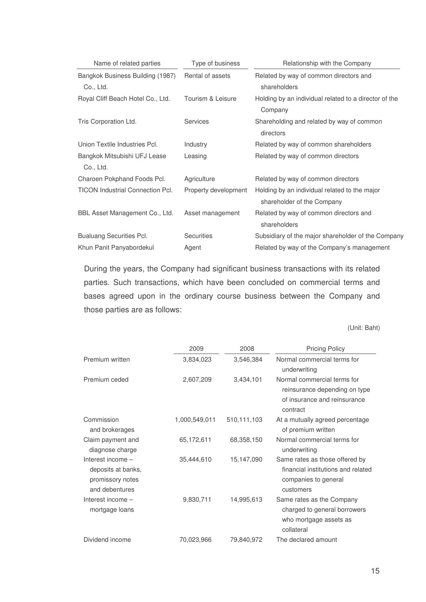| Name of related parties                   | Type of business     | Relationship with the Company                                               |
|-------------------------------------------|----------------------|-----------------------------------------------------------------------------|
| Bangkok Business Building (1987)          | Rental of assets     | Related by way of common directors and                                      |
| Co., Ltd.                                 |                      | shareholders                                                                |
| Royal Cliff Beach Hotel Co., Ltd.         | Tourism & Leisure    | Holding by an individual related to a director of the<br>Company            |
| Tris Corporation Ltd.                     | <b>Services</b>      | Shareholding and related by way of common<br>directors                      |
| Union Textile Industries Pcl.             | Industry             | Related by way of common shareholders                                       |
| Bangkok Mitsubishi UFJ Lease<br>Co., Ltd. | Leasing              | Related by way of common directors                                          |
| Charoen Pokphand Foods Pcl.               | Agriculture          | Related by way of common directors                                          |
| <b>TICON Industrial Connection Pcl.</b>   | Property development | Holding by an individual related to the major<br>shareholder of the Company |
| BBL Asset Management Co., Ltd.            | Asset management     | Related by way of common directors and<br>shareholders                      |
| <b>Bualuang Securities Pcl.</b>           | <b>Securities</b>    | Subsidiary of the major shareholder of the Company                          |
| Khun Panit Panyabordekul                  | Agent                | Related by way of the Company's management                                  |

During the years, the Company had significant business transactions with its related parties. Such transactions, which have been concluded on commercial terms and bases agreed upon in the ordinary course business between the Company and those parties are as follows:

(Unit: Baht)

|                                                                               | 2009          | 2008        | <b>Pricing Policy</b>                                                                                     |
|-------------------------------------------------------------------------------|---------------|-------------|-----------------------------------------------------------------------------------------------------------|
| Premium written                                                               | 3,834,023     | 3,546,384   | Normal commercial terms for<br>underwriting                                                               |
| Premium ceded                                                                 | 2,607,209     | 3,434,101   | Normal commercial terms for<br>reinsurance depending on type<br>of insurance and reinsurance<br>contract  |
| Commission<br>and brokerages                                                  | 1,000,549,011 | 510,111,103 | At a mutually agreed percentage<br>of premium written                                                     |
| Claim payment and<br>diagnose charge                                          | 65,172,611    | 68,358,150  | Normal commercial terms for<br>underwriting                                                               |
| Interest income -<br>deposits at banks,<br>promissory notes<br>and debentures | 35,444,610    | 15,147,090  | Same rates as those offered by<br>financial institutions and related<br>companies to general<br>customers |
| Interest income -<br>mortgage loans                                           | 9,830,711     | 14,995,613  | Same rates as the Company<br>charged to general borrowers<br>who mortgage assets as<br>collateral         |
| Dividend income                                                               | 70,023,966    | 79,840,972  | The declared amount                                                                                       |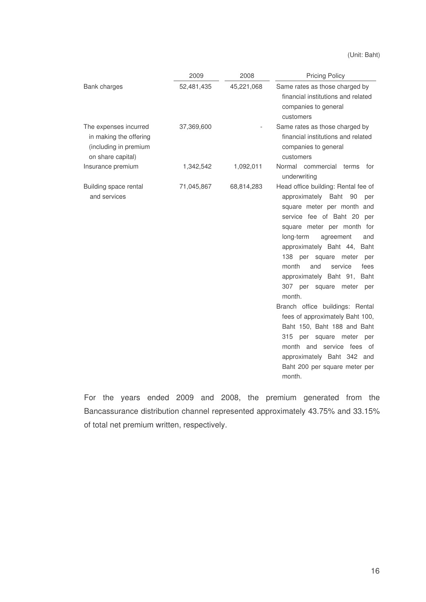(Unit: Baht)

|                                                                                               | 2009       | 2008       | <b>Pricing Policy</b>                                                                                                                                                                                                                                                                                                                                                                                                                                                                                                                                                                                                                      |  |  |  |
|-----------------------------------------------------------------------------------------------|------------|------------|--------------------------------------------------------------------------------------------------------------------------------------------------------------------------------------------------------------------------------------------------------------------------------------------------------------------------------------------------------------------------------------------------------------------------------------------------------------------------------------------------------------------------------------------------------------------------------------------------------------------------------------------|--|--|--|
| Bank charges                                                                                  | 52,481,435 | 45,221,068 | Same rates as those charged by<br>financial institutions and related<br>companies to general<br>customers                                                                                                                                                                                                                                                                                                                                                                                                                                                                                                                                  |  |  |  |
| The expenses incurred<br>in making the offering<br>(including in premium<br>on share capital) | 37,369,600 |            | Same rates as those charged by<br>financial institutions and related<br>companies to general<br>customers                                                                                                                                                                                                                                                                                                                                                                                                                                                                                                                                  |  |  |  |
| Insurance premium                                                                             | 1,342,542  | 1,092,011  | Normal commercial terms<br>for<br>underwriting                                                                                                                                                                                                                                                                                                                                                                                                                                                                                                                                                                                             |  |  |  |
| Building space rental<br>and services                                                         | 71,045,867 | 68,814,283 | Head office building: Rental fee of<br>approximately<br>Baht<br>90<br>per<br>square meter per month and<br>service fee of Baht 20<br>per<br>square meter per month for<br>long-term<br>agreement<br>and<br>approximately Baht 44,<br>Baht<br>138 per square<br>meter<br>per<br>month<br>and<br>service<br>fees<br>approximately Baht 91,<br>Baht<br>307.<br>per square<br>meter<br>per<br>month.<br>Branch office buildings: Rental<br>fees of approximately Baht 100,<br>Baht 150, Baht 188 and Baht<br>315<br>per square meter per<br>month and service fees of<br>approximately Baht 342 and<br>Baht 200 per square meter per<br>month. |  |  |  |

For the years ended 2009 and 2008, the premium generated from the Bancassurance distribution channel represented approximately 43.75% and 33.15% of total net premium written, respectively.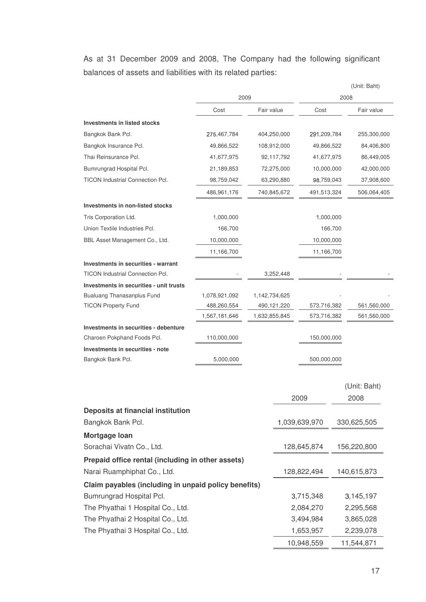As at 31 December 2009 and 2008, The Company had the following significant balances of assets and liabilities with its related parties:

|                                                                      |               |               |             |               |         | (Unit: Baht) |
|----------------------------------------------------------------------|---------------|---------------|-------------|---------------|---------|--------------|
|                                                                      | 2009          |               |             | 2008          |         |              |
|                                                                      | Cost          | Fair value    |             | Cost          |         | Fair value   |
| <b>Investments in listed stocks</b>                                  |               |               |             |               |         |              |
| Bangkok Bank Pcl.                                                    | 275,467,784   |               | 404,250,000 | 291,209,784   |         | 255,300,000  |
| Bangkok Insurance Pcl.                                               | 49,866,522    |               | 108,912,000 | 49,866,522    |         | 84,406,800   |
| Thai Reinsurance Pcl.                                                | 41,677,975    |               | 92,117,792  | 41,677,975    |         | 86,449,005   |
| Bumrungrad Hospital Pcl.                                             | 21,189,853    |               | 72,275,000  | 10,000,000    |         | 42,000,000   |
| TICON Industrial Connection Pcl.                                     | 98,759,042    |               | 63,290,880  | 98,759,043    |         | 37,908,600   |
|                                                                      | 486,961,176   |               | 740,845,672 | 491,513,324   |         | 506,064,405  |
| Investments in non-listed stocks                                     |               |               |             |               |         |              |
| Tris Corporation Ltd.                                                | 1,000,000     |               |             | 1,000,000     |         |              |
| Union Textile Industries Pcl.                                        | 166,700       |               |             |               | 166,700 |              |
| BBL Asset Management Co., Ltd.                                       | 10,000,000    |               |             | 10,000,000    |         |              |
|                                                                      | 11,166,700    |               |             | 11,166,700    |         |              |
| Investments in securities - warrant                                  |               |               |             |               |         |              |
| <b>TICON Industrial Connection Pcl.</b>                              |               |               | 3,252,448   |               |         |              |
| Investments in securities - unit trusts                              |               |               |             |               |         |              |
| Bualuang Thanasanplus Fund                                           | 1,078,921,092 | 1,142,734,625 |             |               |         |              |
| <b>TICON Property Fund</b>                                           | 488,260,554   |               | 490,121,220 | 573,716,382   |         | 561,560,000  |
|                                                                      | 1,567,181,646 | 1,632,855,845 |             | 573,716,382   |         | 561,560,000  |
| Investments in securities - debenture<br>Charoen Pokphand Foods Pcl. | 110,000,000   |               |             | 150,000,000   |         |              |
| Investments in securities - note                                     |               |               |             |               |         |              |
| Bangkok Bank Pcl.                                                    | 5,000,000     |               |             | 500,000,000   |         |              |
|                                                                      |               |               |             |               |         |              |
|                                                                      |               |               |             |               |         | (Unit: Baht) |
|                                                                      |               |               |             | 2009          |         | 2008         |
|                                                                      |               |               |             |               |         |              |
| Deposits at financial institution<br>Bangkok Bank Pcl.               |               |               |             | 1,039,639,970 |         |              |
|                                                                      |               |               |             |               |         | 330,625,505  |
| Mortgage Ioan                                                        |               |               |             |               |         |              |
| Sorachai Vivatn Co., Ltd.                                            |               |               |             | 128,645,874   |         | 156,220,800  |
| Prepaid office rental (including in other assets)                    |               |               |             |               |         |              |
| Narai Ruamphiphat Co., Ltd.                                          |               |               |             | 128,822,494   |         | 140,615,873  |
| Claim payables (including in unpaid policy benefits)                 |               |               |             |               |         |              |
| Bumrungrad Hospital Pcl.                                             |               |               |             | 3,715,348     |         | 3,145,197    |
| The Phyathai 1 Hospital Co., Ltd.                                    |               |               |             | 2,084,270     |         | 2,295,568    |
| The Phyathai 2 Hospital Co., Ltd.                                    |               |               |             | 3,494,984     |         | 3,865,028    |
| The Phyathai 3 Hospital Co., Ltd.                                    |               |               |             | 1,653,957     |         | 2,239,078    |
|                                                                      |               |               |             | 10,948,559    |         | 11,544,871   |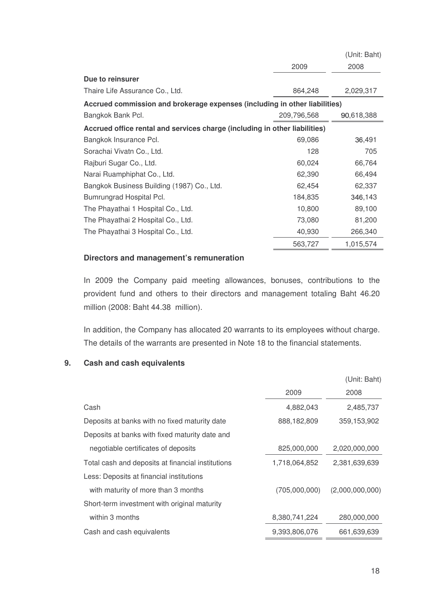|                                                                            |             | (Unit: Baht) |
|----------------------------------------------------------------------------|-------------|--------------|
|                                                                            | 2009        | 2008         |
| Due to reinsurer                                                           |             |              |
| Thaire Life Assurance Co., Ltd.                                            | 864,248     | 2,029,317    |
| Accrued commission and brokerage expenses (including in other liabilities) |             |              |
| Bangkok Bank Pcl.                                                          | 209,796,568 | 90,618,388   |
| Accrued office rental and services charge (including in other liabilities) |             |              |
| Bangkok Insurance Pcl.                                                     | 69,086      | 36,491       |
| Sorachai Vivatn Co., Ltd.                                                  | 128         | 705          |
| Rajburi Sugar Co., Ltd.                                                    | 60,024      | 66,764       |
| Narai Ruamphiphat Co., Ltd.                                                | 62,390      | 66,494       |
| Bangkok Business Building (1987) Co., Ltd.                                 | 62,454      | 62,337       |
| Bumrungrad Hospital Pcl.                                                   | 184,835     | 346,143      |
| The Phayathai 1 Hospital Co., Ltd.                                         | 10,800      | 89,100       |
| The Phayathai 2 Hospital Co., Ltd.                                         | 73,080      | 81,200       |
| The Phayathai 3 Hospital Co., Ltd.                                         | 40,930      | 266,340      |
|                                                                            | 563,727     | 1,015,574    |

## **Directors and management's remuneration**

In 2009 the Company paid meeting allowances, bonuses, contributions to the provident fund and others to their directors and management totaling Baht 46.20 million (2008: Baht 44.38 million).

In addition, the Company has allocated 20 warrants to its employees without charge. The details of the warrants are presented in Note 18 to the financial statements.

# **9. Cash and cash equivalents**

|                                                   |               | (Unit: Baht)    |
|---------------------------------------------------|---------------|-----------------|
|                                                   | 2009          | 2008            |
| Cash                                              | 4,882,043     | 2,485,737       |
| Deposits at banks with no fixed maturity date     | 888,182,809   | 359,153,902     |
| Deposits at banks with fixed maturity date and    |               |                 |
| negotiable certificates of deposits               | 825,000,000   | 2,020,000,000   |
| Total cash and deposits at financial institutions | 1,718,064,852 | 2,381,639,639   |
| Less: Deposits at financial institutions          |               |                 |
| with maturity of more than 3 months               | (705,000,000) | (2,000,000,000) |
| Short-term investment with original maturity      |               |                 |
| within 3 months                                   | 8,380,741,224 | 280,000,000     |
| Cash and cash equivalents                         | 9.393.806.076 | 661.639.639     |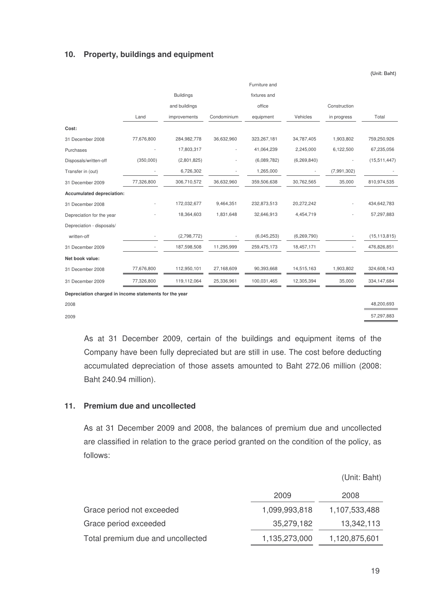## **10. Property, buildings and equipment**

|                           | Furniture and            |                  |             |              |               |              |                |
|---------------------------|--------------------------|------------------|-------------|--------------|---------------|--------------|----------------|
|                           |                          | <b>Buildings</b> |             | fixtures and |               |              |                |
|                           |                          | and buildings    |             | office       |               | Construction |                |
|                           | Land                     | improvements     | Condominium | equipment    | Vehicles      | in progress  | Total          |
| Cost:                     |                          |                  |             |              |               |              |                |
| 31 December 2008          | 77,676,800               | 284,982,778      | 36,632,960  | 323,267,181  | 34,787,405    | 1,903,802    | 759,250,926    |
| Purchases                 |                          | 17,803,317       |             | 41,064,239   | 2,245,000     | 6,122,500    | 67,235,056     |
| Disposals/written-off     | (350,000)                | (2,801,825)      |             | (6,089,782)  | (6, 269, 840) |              | (15,511,447)   |
| Transfer in (out)         |                          | 6,726,302        |             | 1,265,000    |               | (7,991,302)  |                |
| 31 December 2009          | 77,326,800               | 306,710,572      | 36,632,960  | 359,506,638  | 30,762,565    | 35,000       | 810,974,535    |
| Accumulated depreciation: |                          |                  |             |              |               |              |                |
| 31 December 2008          |                          | 172,032,677      | 9,464,351   | 232,873,513  | 20,272,242    |              | 434,642,783    |
| Depreciation for the year |                          | 18,364,603       | 1,831,648   | 32,646,913   | 4,454,719     |              | 57,297,883     |
| Depreciation - disposals/ |                          |                  |             |              |               |              |                |
| written-off               | $\overline{a}$           | (2,798,772)      |             | (6,045,253)  | (6, 269, 790) |              | (15, 113, 815) |
| 31 December 2009          | $\overline{\phantom{a}}$ | 187,598,508      | 11,295,999  | 259,475,173  | 18,457,171    |              | 476,826,851    |
| Net book value:           |                          |                  |             |              |               |              |                |
| 31 December 2008          | 77,676,800               | 112,950,101      | 27,168,609  | 90,393,668   | 14,515,163    | 1,903,802    | 324,608,143    |
| 31 December 2009          | 77,326,800               | 119,112,064      | 25,336,961  | 100,031,465  | 12,305,394    | 35,000       | 334, 147, 684  |

**Depreciation charged in income statements for the year**

2008 48,200,693

2009 57,297,883

As at 31 December 2009, certain of the buildings and equipment items of the Company have been fully depreciated but are still in use. The cost before deducting accumulated depreciation of those assets amounted to Baht 272.06 million (2008: Baht 240.94 million).

#### **11. Premium due and uncollected**

As at 31 December 2009 and 2008, the balances of premium due and uncollected are classified in relation to the grace period granted on the condition of the policy, as follows:

|                                   |               | (Unit: Baht)  |
|-----------------------------------|---------------|---------------|
|                                   | 2009          | 2008          |
| Grace period not exceeded         | 1,099,993,818 | 1,107,533,488 |
| Grace period exceeded             | 35,279,182    | 13,342,113    |
| Total premium due and uncollected | 1,135,273,000 | 1,120,875,601 |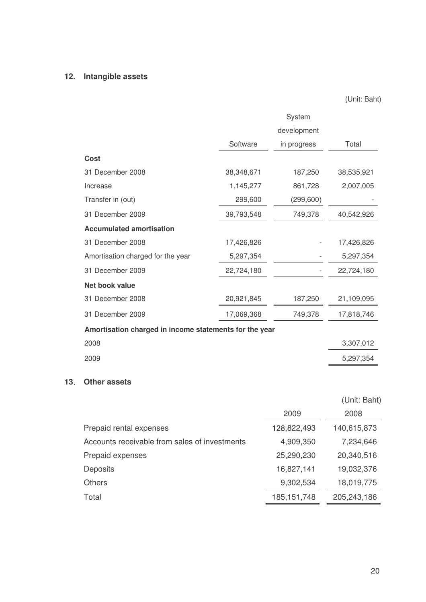# **12. Intangible assets**

(Unit: Baht)

|                                                        | System      |             |            |  |  |
|--------------------------------------------------------|-------------|-------------|------------|--|--|
|                                                        | development |             |            |  |  |
|                                                        | Software    | in progress | Total      |  |  |
| Cost                                                   |             |             |            |  |  |
| 31 December 2008                                       | 38,348,671  | 187,250     | 38,535,921 |  |  |
| Increase                                               | 1,145,277   | 861,728     | 2,007,005  |  |  |
| Transfer in (out)                                      | 299,600     | (299, 600)  |            |  |  |
| 31 December 2009                                       | 39,793,548  | 749,378     | 40,542,926 |  |  |
| <b>Accumulated amortisation</b>                        |             |             |            |  |  |
| 31 December 2008                                       | 17,426,826  |             | 17,426,826 |  |  |
| Amortisation charged for the year                      | 5,297,354   |             | 5,297,354  |  |  |
| 31 December 2009                                       | 22,724,180  |             | 22,724,180 |  |  |
| <b>Net book value</b>                                  |             |             |            |  |  |
| 31 December 2008                                       | 20,921,845  | 187,250     | 21,109,095 |  |  |
| 31 December 2009                                       | 17,069,368  | 749,378     | 17,818,746 |  |  |
| Amortisation charged in income statements for the year |             |             |            |  |  |
| 2008                                                   |             |             | 3,307,012  |  |  |
| 2009                                                   |             |             | 5,297,354  |  |  |
|                                                        |             |             |            |  |  |

# **13 Other assets**

|                                               |               | (Unit: Baht) |
|-----------------------------------------------|---------------|--------------|
|                                               | 2009          | 2008         |
| Prepaid rental expenses                       | 128,822,493   | 140,615,873  |
| Accounts receivable from sales of investments | 4,909,350     | 7,234,646    |
| Prepaid expenses                              | 25,290,230    | 20,340,516   |
| <b>Deposits</b>                               | 16,827,141    | 19,032,376   |
| <b>Others</b>                                 | 9,302,534     | 18,019,775   |
| Total                                         | 185, 151, 748 | 205,243,186  |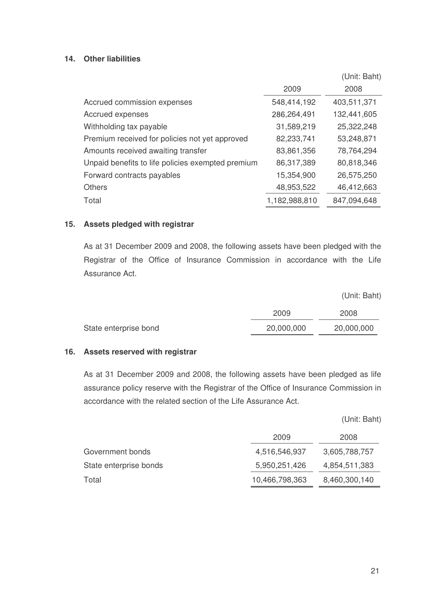# **14. Other liabilities**

|                                                   |               | (Unit: Baht) |
|---------------------------------------------------|---------------|--------------|
|                                                   | 2009          | 2008         |
| Accrued commission expenses                       | 548,414,192   | 403,511,371  |
| Accrued expenses                                  | 286,264,491   | 132,441,605  |
| Withholding tax payable                           | 31,589,219    | 25,322,248   |
| Premium received for policies not yet approved    | 82,233,741    | 53,248,871   |
| Amounts received awaiting transfer                | 83,861,356    | 78,764,294   |
| Unpaid benefits to life policies exempted premium | 86,317,389    | 80,818,346   |
| Forward contracts payables                        | 15,354,900    | 26,575,250   |
| <b>Others</b>                                     | 48,953,522    | 46,412,663   |
| Total                                             | 1,182,988,810 | 847,094,648  |

#### **15. Assets pledged with registrar**

As at 31 December 2009 and 2008, the following assets have been pledged with the Registrar of the Office of Insurance Commission in accordance with the Life Assurance Act.

(Unit: Baht)

|                       | 2009       | 2008       |
|-----------------------|------------|------------|
| State enterprise bond | 20,000,000 | 20,000,000 |

#### **16. Assets reserved with registrar**

As at 31 December 2009 and 2008, the following assets have been pledged as life assurance policy reserve with the Registrar of the Office of Insurance Commission in accordance with the related section of the Life Assurance Act.

(Unit: Baht)

|                        | 2009           | 2008          |
|------------------------|----------------|---------------|
| Government bonds       | 4,516,546,937  | 3,605,788,757 |
| State enterprise bonds | 5,950,251,426  | 4,854,511,383 |
| Total                  | 10,466,798,363 | 8,460,300,140 |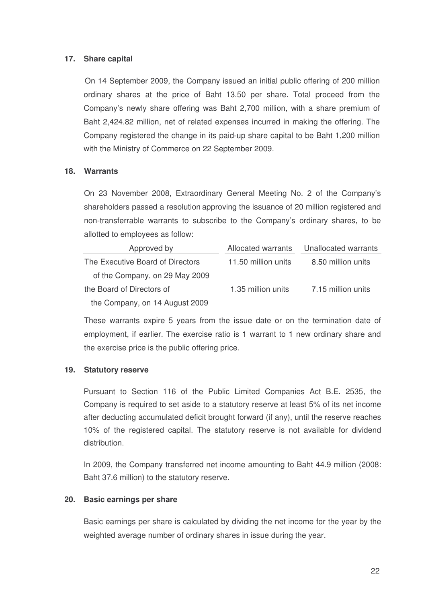# **17. Share capital**

On 14 September 2009, the Company issued an initial public offering of 200 million ordinary shares at the price of Baht 13.50 per share. Total proceed from the Company's newly share offering was Baht 2,700 million, with a share premium of Baht 2,424.82 million, net of related expenses incurred in making the offering. The Company registered the change in its paid-up share capital to be Baht 1,200 million with the Ministry of Commerce on 22 September 2009.

#### **18. Warrants**

On 23 November 2008, Extraordinary General Meeting No. 2 of the Company's shareholders passed a resolution approving the issuance of 20 million registered and non-transferrable warrants to subscribe to the Company's ordinary shares, to be allotted to employees as follow:

| Approved by                      | Allocated warrants  | Unallocated warrants |
|----------------------------------|---------------------|----------------------|
| The Executive Board of Directors | 11.50 million units | 8.50 million units   |
| of the Company, on 29 May 2009   |                     |                      |
| the Board of Directors of        | 1.35 million units  | 7.15 million units   |
| the Company, on 14 August 2009   |                     |                      |

These warrants expire 5 years from the issue date or on the termination date of employment, if earlier. The exercise ratio is 1 warrant to 1 new ordinary share and the exercise price is the public offering price.

#### **19. Statutory reserve**

Pursuant to Section 116 of the Public Limited Companies Act B.E. 2535, the Company is required to set aside to a statutory reserve at least 5% of its net income after deducting accumulated deficit brought forward (if any), until the reserve reaches 10% of the registered capital. The statutory reserve is not available for dividend distribution.

In 2009, the Company transferred net income amounting to Baht 44.9 million (2008: Baht 37.6 million) to the statutory reserve.

#### **20. Basic earnings per share**

Basic earnings per share is calculated by dividing the net income for the year by the weighted average number of ordinary shares in issue during the year.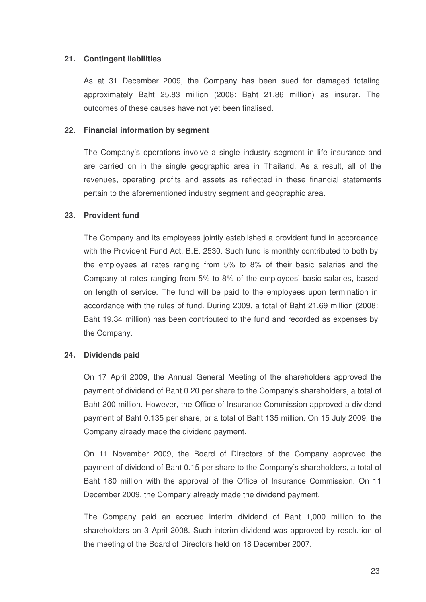# **21. Contingent liabilities**

As at 31 December 2009, the Company has been sued for damaged totaling approximately Baht 25.83 million (2008: Baht 21.86 million) as insurer. The outcomes of these causes have not yet been finalised

# **22. Financial information by segment**

The Company's operations involve a single industry segment in life insurance and are carried on in the single geographic area in Thailand. As a result, all of the revenues, operating profits and assets as reflected in these financial statements pertain to the aforementioned industry segment and geographic area.

#### **23. Provident fund**

The Company and its employees jointly established a provident fund in accordance with the Provident Fund Act. B.E. 2530. Such fund is monthly contributed to both by the employees at rates ranging from 5% to 8% of their basic salaries and the Company at rates ranging from 5% to 8% of the employees' basic salaries, based on length of service. The fund will be paid to the employees upon termination in accordance with the rules of fund. During 2009, a total of Baht 21.69 million (2008: Baht 19.34 million) has been contributed to the fund and recorded as expenses by the Company.

#### **24. Dividends paid**

On 17 April 2009, the Annual General Meeting of the shareholders approved the payment of dividend of Baht 0.20 per share to the Company's shareholders, a total of Baht 200 million. However, the Office of Insurance Commission approved a dividend payment of Baht 0.135 per share, or a total of Baht 135 million. On 15 July 2009, the Company already made the dividend payment.

On 11 November 2009, the Board of Directors of the Company approved the payment of dividend of Baht 0.15 per share to the Company's shareholders, a total of Baht 180 million with the approval of the Office of Insurance Commission. On 11 December 2009, the Company already made the dividend payment.

The Company paid an accrued interim dividend of Baht 1,000 million to the shareholders on 3 April 2008. Such interim dividend was approved by resolution of the meeting of the Board of Directors held on 18 December 2007.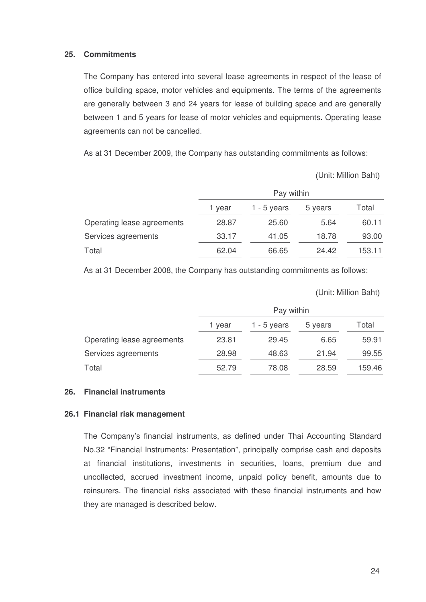#### **25. Commitments**

The Company has entered into several lease agreements in respect of the lease of office building space, motor vehicles and equipments. The terms of the agreements are generally between 3 and 24 years for lease of building space and are generally between 1 and 5 years for lease of motor vehicles and equipments. Operating lease agreements can not be cancelled.

As at 31 December 2009, the Company has outstanding commitments as follows:

Unit: Million Baht

|                            | Pay within                                |       |       |        |  |  |
|----------------------------|-------------------------------------------|-------|-------|--------|--|--|
|                            | Total<br>1 - 5 years<br>5 years<br>1 year |       |       |        |  |  |
| Operating lease agreements | 28.87                                     | 25.60 | 5.64  | 60.11  |  |  |
| Services agreements        | 33.17                                     | 41.05 | 18.78 | 93.00  |  |  |
| Total                      | 62.04                                     | 66.65 | 24.42 | 153.11 |  |  |

As at 31 December 2008, the Company has outstanding commitments as follows:

Unit: Million Baht

|                            | Pay within                                |       |       |        |  |  |
|----------------------------|-------------------------------------------|-------|-------|--------|--|--|
|                            | Total<br>1 - 5 years<br>5 years<br>1 year |       |       |        |  |  |
| Operating lease agreements | 23.81                                     | 29.45 | 6.65  | 59.91  |  |  |
| Services agreements        | 28.98                                     | 48.63 | 21.94 | 99.55  |  |  |
| Total                      | 52.79                                     | 78.08 | 28.59 | 159.46 |  |  |

#### **26. Financial instruments**

#### **26.1 Financial risk management**

The Company's financial instruments, as defined under Thai Accounting Standard No.32 "Financial Instruments: Presentation", principally comprise cash and deposits at financial institutions, investments in securities, loans, premium due and uncollected, accrued investment income, unpaid policy benefit, amounts due to reinsurers. The financial risks associated with these financial instruments and how they are managed is described below.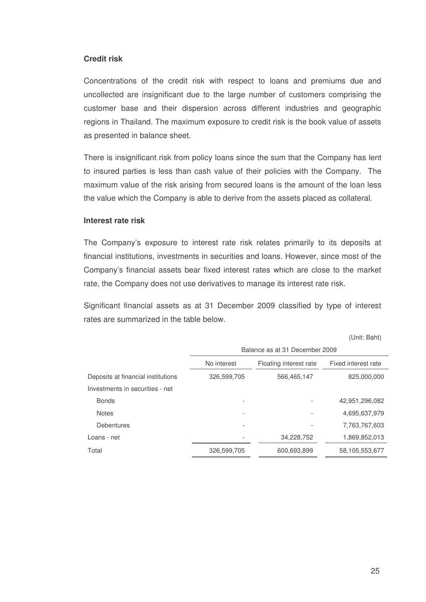#### **Credit risk**

Concentrations of the credit risk with respect to loans and premiums due and uncollected are insignificant due to the large number of customers comprising the customer base and their dispersion across different industries and geographic regions in Thailand. The maximum exposure to credit risk is the book value of assets as presented in balance sheet.

There is insignificant risk from policy loans since the sum that the Company has lent to insured parties is less than cash value of their policies with the Company. The maximum value of the risk arising from secured loans is the amount of the loan less the value which the Company is able to derive from the assets placed as collateral.

#### **Interest rate risk**

The Company's exposure to interest rate risk relates primarily to its deposits at financial institutions, investments in securities and loans. However, since most of the Company's financial assets bear fixed interest rates which are close to the market rate, the Company does not use derivatives to manage its interest rate risk.

Significant financial assets as at 31 December 2009 classified by type of interest rates are summarized in the table below.

(Unit: Baht)

|                                    | Balance as at 31 December 2009 |                        |                     |  |  |
|------------------------------------|--------------------------------|------------------------|---------------------|--|--|
|                                    | No interest                    | Floating interest rate | Fixed interest rate |  |  |
| Deposits at financial institutions | 326,599,705                    | 566,465,147            | 825,000,000         |  |  |
| Investments in securities - net    |                                |                        |                     |  |  |
| <b>Bonds</b>                       |                                |                        | 42,951,296,082      |  |  |
| <b>Notes</b>                       |                                |                        | 4,695,637,979       |  |  |
| <b>Debentures</b>                  |                                |                        | 7,763,767,603       |  |  |
| Loans - net                        |                                | 34,228,752             | 1,869,852,013       |  |  |
| Total                              | 326,599,705                    | 600,693,899            | 58,105,553,677      |  |  |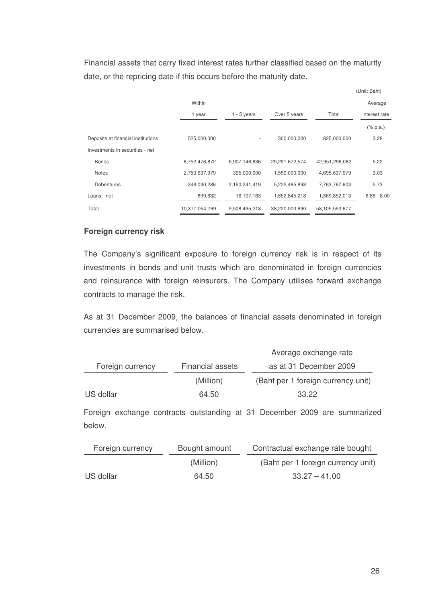Financial assets that carry fixed interest rates further classified based on the maturity date, or the repricing date if this occurs before the maturity date.

|                                    |                |                          |                |                | (Unit: Baht)  |
|------------------------------------|----------------|--------------------------|----------------|----------------|---------------|
|                                    | Within         |                          |                |                | Average       |
|                                    | 1 year         | $1 - 5$ years            | Over 5 years   | Total          | interest rate |
|                                    |                |                          |                |                | $(\%$ p.a.)   |
| Deposits at financial institutions | 525,000,000    | $\overline{\phantom{a}}$ | 300,000,000    | 825,000,000    | 3.28          |
| Investments in securities - net    |                |                          |                |                |               |
| <b>Bonds</b>                       | 6,752,476,872  | 6,907,146,636            | 29,291,672,574 | 42,951,296,082 | 5.22          |
| <b>Notes</b>                       | 2,750,637,979  | 395,000,000              | 1,550,000,000  | 4,695,637,979  | 3.03          |
| <b>Debentures</b>                  | 348,040,286    | 2,190,241,419            | 5,225,485,898  | 7,763,767,603  | 5.73          |
| Loans - net                        | 899,632        | 16,107,163               | 1,852,845,218  | 1,869,852,013  | $6.86 - 8.00$ |
| Total                              | 10,377,054,769 | 9,508,495,218            | 38,220,003,690 | 58,105,553,677 |               |

# **Foreign currency risk**

The Company's significant exposure to foreign currency risk is in respect of its investments in bonds and unit trusts which are denominated in foreign currencies and reinsurance with foreign reinsurers. The Company utilises forward exchange contracts to manage the risk.

As at 31 December 2009, the balances of financial assets denominated in foreign currencies are summarised below.

|                  |                  | Average exchange rate              |
|------------------|------------------|------------------------------------|
| Foreign currency | Financial assets | as at 31 December 2009             |
|                  | (Million)        | (Baht per 1 foreign currency unit) |
| US dollar        | 64.50            | 33.22                              |

Foreign exchange contracts outstanding at 31 December 2009 are summarized below.

| Foreign currency | Bought amount | Contractual exchange rate bought   |
|------------------|---------------|------------------------------------|
|                  | (Million)     | (Baht per 1 foreign currency unit) |
| US dollar        | 64.50         | $33.27 - 41.00$                    |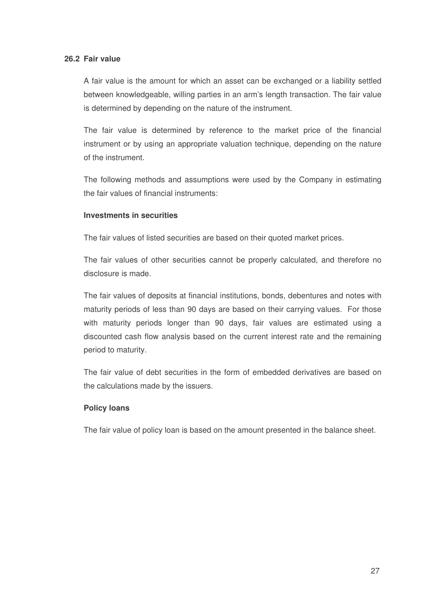# **26.2 Fair value**

A fair value is the amount for which an asset can be exchanged or a liability settled between knowledgeable, willing parties in an arm's length transaction. The fair value is determined by depending on the nature of the instrument.

The fair value is determined by reference to the market price of the financial instrument or by using an appropriate valuation technique, depending on the nature of the instrument.

The following methods and assumptions were used by the Company in estimating the fair values of financial instruments:

#### **Investments in securities**

The fair values of listed securities are based on their quoted market prices.

The fair values of other securities cannot be properly calculated, and therefore no disclosure is made.

The fair values of deposits at financial institutions, bonds, debentures and notes with maturity periods of less than 90 days are based on their carrying values. For those with maturity periods longer than 90 days, fair values are estimated using a discounted cash flow analysis based on the current interest rate and the remaining period to maturity.

The fair value of debt securities in the form of embedded derivatives are based on the calculations made by the issuers.

#### **Policy loans**

The fair value of policy loan is based on the amount presented in the balance sheet.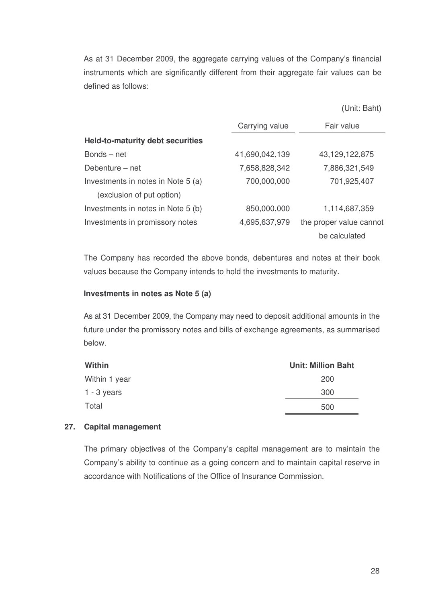As at 31 December 2009, the aggregate carrying values of the Company's financial instruments which are significantly different from their aggregate fair values can be defined as follows:

|  | (Unit: Baht) |
|--|--------------|
|  |              |

|                                         | Carrying value | Fair value              |
|-----------------------------------------|----------------|-------------------------|
| <b>Held-to-maturity debt securities</b> |                |                         |
| Bonds - net                             | 41,690,042,139 | 43, 129, 122, 875       |
| Debenture – net                         | 7,658,828,342  | 7,886,321,549           |
| Investments in notes in Note 5 (a)      | 700,000,000    | 701,925,407             |
| (exclusion of put option)               |                |                         |
| Investments in notes in Note 5 (b)      | 850,000,000    | 1,114,687,359           |
| Investments in promissory notes         | 4,695,637,979  | the proper value cannot |
|                                         |                | be calculated           |

The Company has recorded the above bonds, debentures and notes at their book values because the Company intends to hold the investments to maturity.

#### **Investments in notes as Note 5 (a)**

As at 31 December 2009, the Company may need to deposit additional amounts in the future under the promissory notes and bills of exchange agreements, as summarised below.

| Within        | <b>Unit: Million Baht</b> |
|---------------|---------------------------|
| Within 1 year | <b>200</b>                |
| $1 - 3$ years | 300                       |
| Total         | 500                       |

#### **27. Capital management**

The primary objectives of the Company's capital management are to maintain the Company's ability to continue as a going concern and to maintain capital reserve in accordance with Notifications of the Office of Insurance Commission.